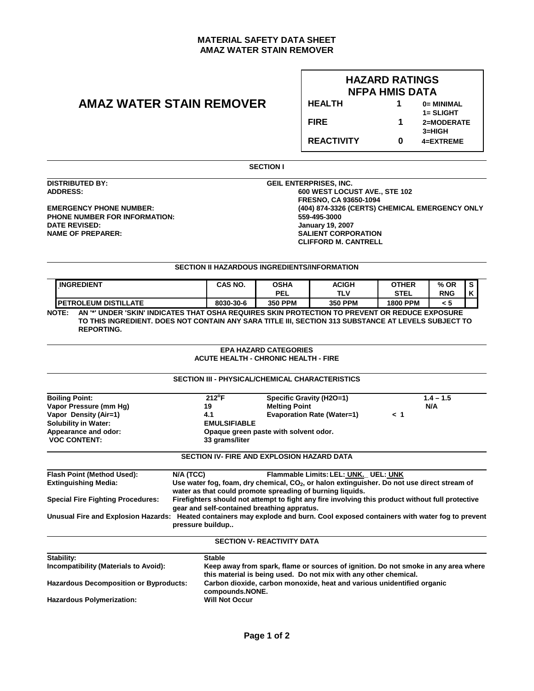## **MATERIAL SAFETY DATA SHEET AMAZ WATER STAIN REMOVER**

# **AMAZ WATER STAIN REMOVER**

## **HAZARD RATINGS NFPA HMIS DATA HEALTH 1 0= MINIMAL**

 **1= SLIGHT FIRE 1 2=MODERATE 3=HIGH** 

**REACTIVITY 0 4=EXTREME**

**SECTION I** 

**DISTRIBUTED BY: DISTRIBUTED BY: GEIL ENTERPRISES, INC.** 

 $\overline{a}$ 

**PHONE NUMBER FOR INFORMATION:**<br>DATE REVISED: **DATE REVISED: January 19, 2007** 

**ADDRESS: 600 WEST LOCUST AVE., STE 102 FRESNO, CA 93650-1094**<br> **EMERGENCY PHONE NUMBER:** (404) 874-3326 (CERTS) C **EMERGENCY PHONE NUMBER: (404) 874-3326 (CERTS) CHEMICAL EMERGENCY ONLY SALIENT CORPORATION CLIFFORD M. CANTRELL** 

## **SECTION II HAZARDOUS INGREDIENTS/INFORMATION**

| <b>INGREDIENT</b>                                                                                       | CAS NO.   | OSHA           | <b>ACIGH</b>   | <b>OTHER</b>    | % OR       | -S |  |
|---------------------------------------------------------------------------------------------------------|-----------|----------------|----------------|-----------------|------------|----|--|
|                                                                                                         |           | <b>PEL</b>     | TLV            | <b>STEL</b>     | <b>RNG</b> | ĸ  |  |
| I PETROLEUM DISTILLATE                                                                                  | 8030-30-6 | <b>350 PPM</b> | <b>350 PPM</b> | <b>1800 PPM</b> | < 5        |    |  |
| NOTE:<br>AN '*' UNDER 'SKIN' INDICATES THAT OSHA REQUIRES SKIN PROTECTION TO PREVENT OR REDUCE EXPOSURE |           |                |                |                 |            |    |  |

**TO THIS INGREDIENT. DOES NOT CONTAIN ANY SARA TITLE III, SECTION 313 SUBSTANCE AT LEVELS SUBJECT TO REPORTING.** 

#### **EPA HAZARD CATEGORIES ACUTE HEALTH - CHRONIC HEALTH - FIRE**

|                                                                                                                               |                                                                                                                                                 |                                                                                                                                                        | <b>SECTION III - PHYSICAL/CHEMICAL CHARACTERISTICS</b>                                                                                                     |          |             |  |
|-------------------------------------------------------------------------------------------------------------------------------|-------------------------------------------------------------------------------------------------------------------------------------------------|--------------------------------------------------------------------------------------------------------------------------------------------------------|------------------------------------------------------------------------------------------------------------------------------------------------------------|----------|-------------|--|
| <b>Boiling Point:</b>                                                                                                         |                                                                                                                                                 | $212^{\circ}F$                                                                                                                                         | Specific Gravity (H2O=1)                                                                                                                                   |          | $1.4 - 1.5$ |  |
| Vapor Pressure (mm Hg)                                                                                                        | 19                                                                                                                                              |                                                                                                                                                        | <b>Melting Point</b>                                                                                                                                       |          | N/A         |  |
| Vapor Density (Air=1)                                                                                                         | 4.1                                                                                                                                             |                                                                                                                                                        | <b>Evaporation Rate (Water=1)</b>                                                                                                                          | $\leq 1$ |             |  |
| <b>Solubility in Water:</b>                                                                                                   | <b>EMULSIFIABLE</b>                                                                                                                             |                                                                                                                                                        |                                                                                                                                                            |          |             |  |
| Appearance and odor:                                                                                                          | Opaque green paste with solvent odor.                                                                                                           |                                                                                                                                                        |                                                                                                                                                            |          |             |  |
| <b>VOC CONTENT:</b>                                                                                                           | 33 grams/liter                                                                                                                                  |                                                                                                                                                        |                                                                                                                                                            |          |             |  |
|                                                                                                                               |                                                                                                                                                 |                                                                                                                                                        | <b>SECTION IV- FIRE AND EXPLOSION HAZARD DATA</b>                                                                                                          |          |             |  |
| Flash Point (Method Used):                                                                                                    | N/A (TCC)                                                                                                                                       |                                                                                                                                                        | Flammable Limits: LEL: UNK. UEL: UNK                                                                                                                       |          |             |  |
| <b>Extinguishing Media:</b>                                                                                                   |                                                                                                                                                 |                                                                                                                                                        | Use water fog, foam, dry chemical, $CO2$ , or halon extinguisher. Do not use direct stream of<br>water as that could promote spreading of burning liquids. |          |             |  |
| <b>Special Fire Fighting Procedures:</b>                                                                                      | Firefighters should not attempt to fight any fire involving this product without full protective<br>gear and self-contained breathing appratus. |                                                                                                                                                        |                                                                                                                                                            |          |             |  |
| Unusual Fire and Explosion Hazards: Heated containers may explode and burn. Cool exposed containers with water fog to prevent |                                                                                                                                                 |                                                                                                                                                        |                                                                                                                                                            |          |             |  |
|                                                                                                                               | pressure buildup                                                                                                                                |                                                                                                                                                        |                                                                                                                                                            |          |             |  |
|                                                                                                                               |                                                                                                                                                 |                                                                                                                                                        | <b>SECTION V- REACTIVITY DATA</b>                                                                                                                          |          |             |  |
| Stability:                                                                                                                    |                                                                                                                                                 | <b>Stable</b>                                                                                                                                          |                                                                                                                                                            |          |             |  |
| Incompatibility (Materials to Avoid):                                                                                         |                                                                                                                                                 | Keep away from spark, flame or sources of ignition. Do not smoke in any area where<br>this material is being used. Do not mix with any other chemical. |                                                                                                                                                            |          |             |  |
| <b>Hazardous Decomposition or Byproducts:</b>                                                                                 |                                                                                                                                                 | Carbon dioxide, carbon monoxide, heat and various unidentified organic<br>compounds.NONE.                                                              |                                                                                                                                                            |          |             |  |
| <b>Hazardous Polymerization:</b>                                                                                              |                                                                                                                                                 | <b>Will Not Occur</b>                                                                                                                                  |                                                                                                                                                            |          |             |  |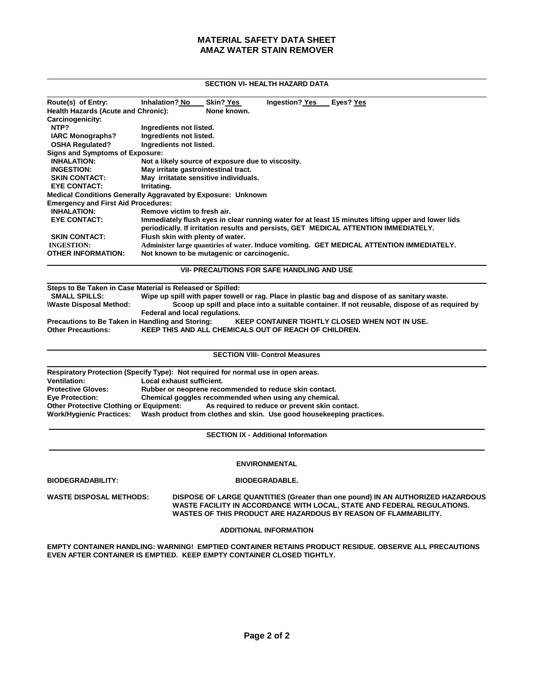## **MATERIAL SAFETY DATA SHEET AMAZ WATER STAIN REMOVER**

## **SECTION VI- HEALTH HAZARD DATA**

| Route(s) of Entry:                                                  | <b>Inhalation? No</b>                                                                                                                                                                      | <b>Skin? Yes</b> | Ingestion? Yes | Eyes? Yes                                                                                 |  |
|---------------------------------------------------------------------|--------------------------------------------------------------------------------------------------------------------------------------------------------------------------------------------|------------------|----------------|-------------------------------------------------------------------------------------------|--|
| <b>Health Hazards (Acute and Chronic):</b>                          |                                                                                                                                                                                            | None known.      |                |                                                                                           |  |
| Carcinogenicity:                                                    |                                                                                                                                                                                            |                  |                |                                                                                           |  |
| NTP?                                                                | Ingredients not listed.                                                                                                                                                                    |                  |                |                                                                                           |  |
| <b>IARC Monographs?</b>                                             | Ingredients not listed.                                                                                                                                                                    |                  |                |                                                                                           |  |
| <b>OSHA Requiated?</b>                                              | Ingredients not listed.                                                                                                                                                                    |                  |                |                                                                                           |  |
| Signs and Symptoms of Exposure:                                     |                                                                                                                                                                                            |                  |                |                                                                                           |  |
| <b>INHALATION:</b>                                                  | Not a likely source of exposure due to viscosity.                                                                                                                                          |                  |                |                                                                                           |  |
| <b>INGESTION:</b>                                                   | May irritate gastrointestinal tract.                                                                                                                                                       |                  |                |                                                                                           |  |
| <b>SKIN CONTACT:</b>                                                | May irritatate sensitive individuals.                                                                                                                                                      |                  |                |                                                                                           |  |
| <b>EYE CONTACT:</b>                                                 | Irritating.                                                                                                                                                                                |                  |                |                                                                                           |  |
| <b>Medical Conditions Generally Aggravated by Exposure: Unknown</b> |                                                                                                                                                                                            |                  |                |                                                                                           |  |
| <b>Emergency and First Aid Procedures:</b>                          |                                                                                                                                                                                            |                  |                |                                                                                           |  |
| <b>INHALATION:</b>                                                  | Remove victim to fresh air.                                                                                                                                                                |                  |                |                                                                                           |  |
| <b>EYE CONTACT:</b>                                                 | Immediately flush eyes in clear running water for at least 15 minutes lifting upper and lower lids<br>periodically. If irritation results and persists, GET MEDICAL ATTENTION IMMEDIATELY. |                  |                |                                                                                           |  |
| <b>SKIN CONTACT:</b>                                                | Flush skin with plenty of water.                                                                                                                                                           |                  |                |                                                                                           |  |
| <b>INGESTION:</b>                                                   |                                                                                                                                                                                            |                  |                | Administer large quantiries of water. Induce vomiting. GET MEDICAL ATTENTION IMMEDIATELY. |  |
| <b>OTHER INFORMATION:</b>                                           | Not known to be mutagenic or carcinogenic.                                                                                                                                                 |                  |                |                                                                                           |  |

**VII- PRECAUTIONS FOR SAFE HANDLING AND USE** 

 **Steps to Be Taken in Case Material is Released or Spilled: SMALL SPILLS: Wipe up spill with paper towell or rag. Place in plastic bag and dispose of as sanitary waste.**  Scoop up spill and place into a suitable container. If not reusable, dispose of as required by **Federal and local regulations.**<br>Precautions to Be Taken in Handling and Storing: KI **Precautions to Be Taken in Handling and Storing: KEEP CONTAINER TIGHTLY CLOSED WHEN NOT IN USE.**<br>Other Precautions: KEEP THIS AND ALL CHEMICALS OUT OF REACH OF CHILDREN. **KEEP THIS AND ALL CHEMICALS OUT OF REACH OF CHILDREN.** 

#### **SECTION VIII- Control Measures**

|                                         | Respiratory Protection (Specify Type): Not required for normal use in open areas.             |
|-----------------------------------------|-----------------------------------------------------------------------------------------------|
| <b>Ventilation:</b>                     | Local exhaust sufficient.                                                                     |
| <b>Protective Gloves:</b>               | Rubber or neoprene recommended to reduce skin contact.                                        |
| <b>Eye Protection:</b>                  | Chemical goggles recommended when using any chemical.                                         |
| Other Protective Clothing or Equipment: | As required to reduce or prevent skin contact.                                                |
|                                         | Work/Hygienic Practices: Wash product from clothes and skin. Use good housekeeping practices. |

**SECTION IX - Additional Information**

### **ENVIRONMENTAL**

**BIODEGRADABILITY: BIODEGRADABLE.**

**WASTE DISPOSAL METHODS: DISPOSE OF LARGE QUANTITIES (Greater than one pound) IN AN AUTHORIZED HAZARDOUS WASTE FACILITY IN ACCORDANCE WITH LOCAL, STATE AND FEDERAL REGULATIONS. WASTES OF THIS PRODUCT ARE HAZARDOUS BY REASON OF FLAMMABILITY.**

### **ADDITIONAL INFORMATION**

**EMPTY CONTAINER HANDLING: WARNING! EMPTIED CONTAINER RETAINS PRODUCT RESIDUE. OBSERVE ALL PRECAUTIONS EVEN AFTER CONTAINER IS EMPTIED. KEEP EMPTY CONTAINER CLOSED TIGHTLY.**